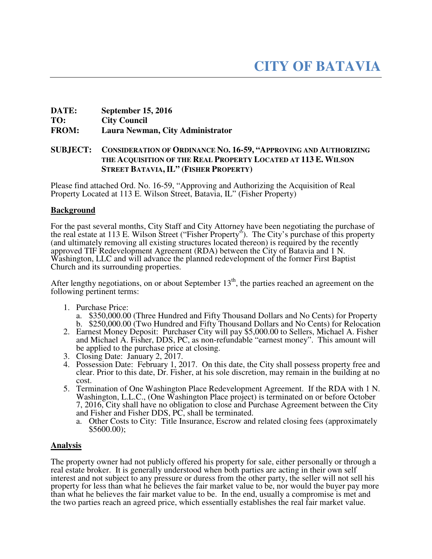# **DATE: September 15, 2016 TO: City Council FROM: Laura Newman, City Administrator**

# **SUBJECT: CONSIDERATION OF ORDINANCE NO. 16-59, "APPROVING AND AUTHORIZING THE ACQUISITION OF THE REAL PROPERTY LOCATED AT 113 E. WILSON STREET BATAVIA, IL" (FISHER PROPERTY)**

Please find attached Ord. No. 16-59, "Approving and Authorizing the Acquisition of Real Property Located at 113 E. Wilson Street, Batavia, IL" (Fisher Property)

## **Background**

For the past several months, City Staff and City Attorney have been negotiating the purchase of the real estate at 113 E. Wilson Street ("Fisher Property"). The City's purchase of this property (and ultimately removing all existing structures located thereon) is required by the recently approved TIF Redevelopment Agreement (RDA) between the City of Batavia and 1 N. Washington, LLC and will advance the planned redevelopment of the former First Baptist Church and its surrounding properties.

After lengthy negotiations, on or about September  $13<sup>th</sup>$ , the parties reached an agreement on the following pertinent terms:

- 1. Purchase Price:
	- a. \$350,000.00 (Three Hundred and Fifty Thousand Dollars and No Cents) for Property b. \$250,000.00 (Two Hundred and Fifty Thousand Dollars and No Cents) for Relocation
- 2. Earnest Money Deposit: Purchaser City will pay \$5,000.00 to Sellers, Michael A. Fisher and Michael A. Fisher, DDS, PC, as non-refundable "earnest money". This amount will be applied to the purchase price at closing.
- 3. Closing Date: January 2, 2017.
- 4. Possession Date: February 1, 2017. On this date, the City shall possess property free and clear. Prior to this date, Dr. Fisher, at his sole discretion, may remain in the building at no cost.
- 5. Termination of One Washington Place Redevelopment Agreement. If the RDA with 1 N. Washington, L.L.C., (One Washington Place project) is terminated on or before October 7, 2016, City shall have no obligation to close and Purchase Agreement between the City and Fisher and Fisher DDS, PC, shall be terminated.
	- a. Other Costs to City: Title Insurance, Escrow and related closing fees (approximately \$5600.00);

# **Analysis**

The property owner had not publicly offered his property for sale, either personally or through a real estate broker. It is generally understood when both parties are acting in their own self interest and not subject to any pressure or duress from the other party, the seller will not sell his property for less than what he believes the fair market value to be, nor would the buyer pay more than what he believes the fair market value to be. In the end, usually a compromise is met and the two parties reach an agreed price, which essentially establishes the real fair market value.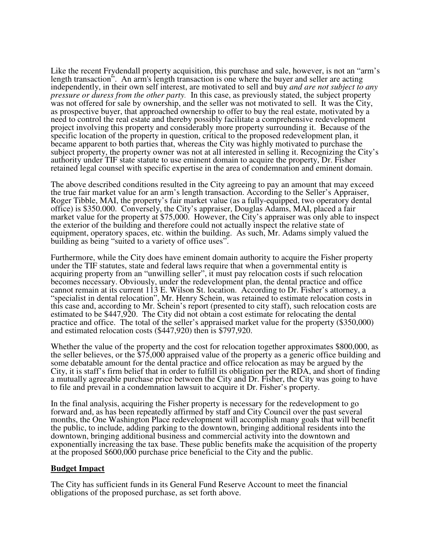Like the recent Frydendall property acquisition, this purchase and sale, however, is not an "arm's length transaction". An arm's length transaction is one where the buyer and seller are acting independently, in their own self interest, are motivated to sell and buy *and are not subject to any pressure or duress from the other party.* In this case, as previously stated, the subject property was not offered for sale by ownership, and the seller was not motivated to sell. It was the City, as prospective buyer, that approached ownership to offer to buy the real estate, motivated by a need to control the real estate and thereby possibly facilitate a comprehensive redevelopment project involving this property and considerably more property surrounding it. Because of the specific location of the property in question, critical to the proposed redevelopment plan, it became apparent to both parties that, whereas the City was highly motivated to purchase the subject property, the property owner was not at all interested in selling it. Recognizing the City's authority under TIF state statute to use eminent domain to acquire the property, Dr. Fisher retained legal counsel with specific expertise in the area of condemnation and eminent domain.

The above described conditions resulted in the City agreeing to pay an amount that may exceed the true fair market value for an arm's length transaction. According to the Seller's Appraiser, Roger Tibble, MAI, the property's fair market value (as a fully-equipped, two operatory dental office) is \$350.000. Conversely, the City's appraiser, Douglas Adams, MAI, placed a fair market value for the property at \$75,000. However, the City's appraiser was only able to inspect the exterior of the building and therefore could not actually inspect the relative state of equipment, operatory spaces, etc. within the building. As such, Mr. Adams simply valued the building as being "suited to a variety of office uses".

Furthermore, while the City does have eminent domain authority to acquire the Fisher property under the TIF statutes, state and federal laws require that when a governmental entity is acquiring property from an "unwilling seller", it must pay relocation costs if such relocation becomes necessary. Obviously, under the redevelopment plan, the dental practice and office cannot remain at its current 113 E. Wilson St. location. According to Dr. Fisher's attorney, a "specialist in dental relocation", Mr. Henry Schein, was retained to estimate relocation costs in this case and, according to Mr. Schein's report (presented to city staff), such relocation costs are estimated to be \$447,920. The City did not obtain a cost estimate for relocating the dental practice and office. The total of the seller's appraised market value for the property (\$350,000) and estimated relocation costs (\$447,920) then is \$797,920.

Whether the value of the property and the cost for relocation together approximates \$800,000, as the seller believes, or the \$75,000 appraised value of the property as a generic office building and some debatable amount for the dental practice and office relocation as may be argued by the City, it is staff's firm belief that in order to fulfill its obligation per the RDA, and short of finding a mutually agreeable purchase price between the City and Dr. Fisher, the City was going to have to file and prevail in a condemnation lawsuit to acquire it Dr. Fisher's property.

In the final analysis, acquiring the Fisher property is necessary for the redevelopment to go forward and, as has been repeatedly affirmed by staff and City Council over the past several months, the One Washington Place redevelopment will accomplish many goals that will benefit the public, to include, adding parking to the downtown, bringing additional residents into the downtown, bringing additional business and commercial activity into the downtown and exponentially increasing the tax base. These public benefits make the acquisition of the property at the proposed \$600,000 purchase price beneficial to the City and the public.

## **Budget Impact**

The City has sufficient funds in its General Fund Reserve Account to meet the financial obligations of the proposed purchase, as set forth above.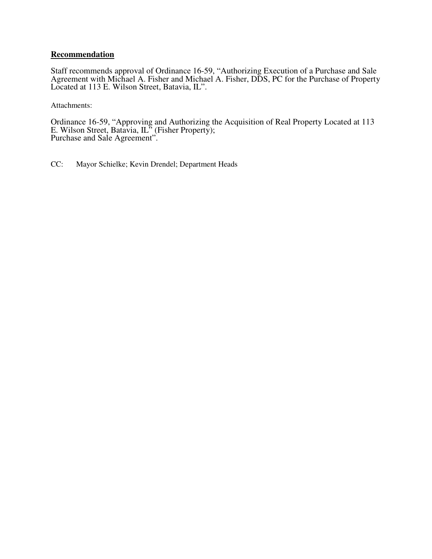## **Recommendation**

Staff recommends approval of Ordinance 16-59, "Authorizing Execution of a Purchase and Sale Agreement with Michael A. Fisher and Michael A. Fisher, DDS, PC for the Purchase of Property Located at 113 E. Wilson Street, Batavia, IL".

Attachments:

Ordinance 16-59, "Approving and Authorizing the Acquisition of Real Property Located at 113 E. Wilson Street, Batavia, IL<sup>5</sup> (Fisher Property); Purchase and Sale Agreement".

CC: Mayor Schielke; Kevin Drendel; Department Heads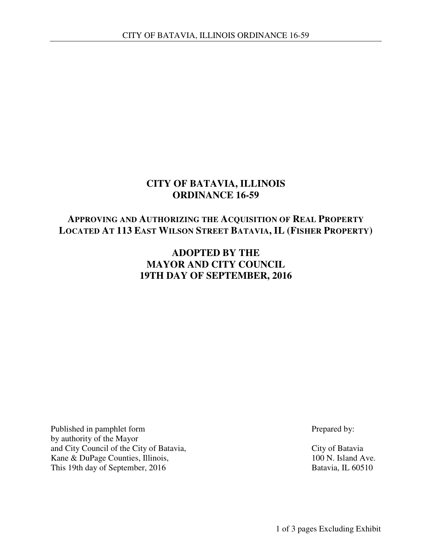# **CITY OF BATAVIA, ILLINOIS ORDINANCE 16-59**

# **APPROVING AND AUTHORIZING THE ACQUISITION OF REAL PROPERTY LOCATED AT 113 EAST WILSON STREET BATAVIA, IL (FISHER PROPERTY)**

# **ADOPTED BY THE MAYOR AND CITY COUNCIL 19TH DAY OF SEPTEMBER, 2016**

Published in pamphlet form Prepared by: by authority of the Mayor and City Council of the City of Batavia, City of Batavia Kane & DuPage Counties, Illinois, 100 N. Island Ave. This 19th day of September, 2016 Batavia, IL 60510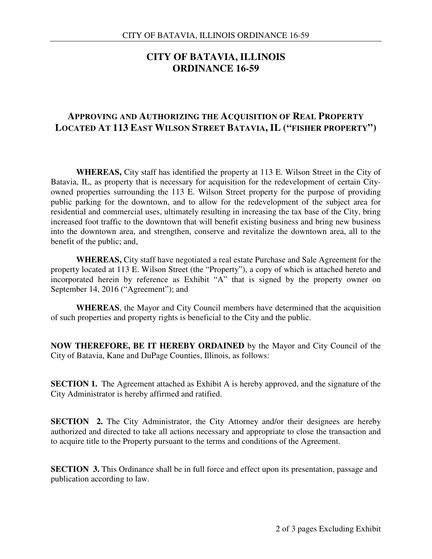# **CITY OF BATAVIA, ILLINOIS ORDINANCE 16-59**

# **APPROVING AND AUTHORIZING THE ACQUISITION OF REAL PROPERTY LOCATED AT 113 EAST WILSON STREET BATAVIA, IL ("FISHER PROPERTY")**

 **WHEREAS,** City staff has identified the property at 113 E. Wilson Street in the City of Batavia, IL, as property that is necessary for acquisition for the redevelopment of certain Cityowned properties surrounding the 113 E. Wilson Street property for the purpose of providing public parking for the downtown, and to allow for the redevelopment of the subject area for residential and commercial uses, ultimately resulting in increasing the tax base of the City, bring increased foot traffic to the downtown that will benefit existing business and bring new business into the downtown area, and strengthen, conserve and revitalize the downtown area, all to the benefit of the public; and,

 **WHEREAS,** City staff have negotiated a real estate Purchase and Sale Agreement for the property located at 113 E. Wilson Street (the "Property"), a copy of which is attached hereto and incorporated herein by reference as Exhibit "A" that is signed by the property owner on September 14, 2016 ("Agreement"); and

**WHEREAS**, the Mayor and City Council members have determined that the acquisition of such properties and property rights is beneficial to the City and the public.

**NOW THEREFORE, BE IT HEREBY ORDAINED** by the Mayor and City Council of the City of Batavia, Kane and DuPage Counties, Illinois, as follows:

**SECTION 1.** The Agreement attached as Exhibit A is hereby approved, and the signature of the City Administrator is hereby affirmed and ratified.

**SECTION** 2. The City Administrator, the City Attorney and/or their designees are hereby authorized and directed to take all actions necessary and appropriate to close the transaction and to acquire title to the Property pursuant to the terms and conditions of the Agreement.

**SECTION 3.** This Ordinance shall be in full force and effect upon its presentation, passage and publication according to law.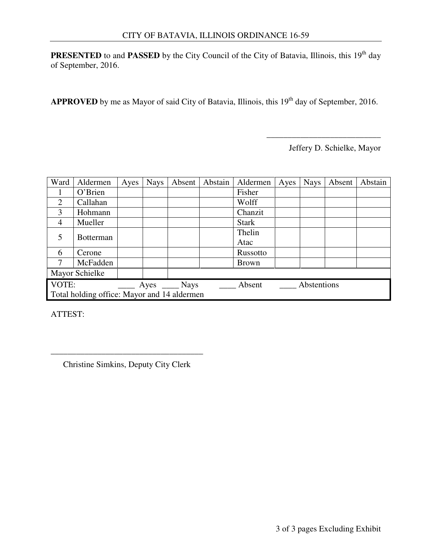**PRESENTED** to and **PASSED** by the City Council of the City of Batavia, Illinois, this 19<sup>th</sup> day of September, 2016.

APPROVED by me as Mayor of said City of Batavia, Illinois, this 19<sup>th</sup> day of September, 2016.

Jeffery D. Schielke, Mayor

\_\_\_\_\_\_\_\_\_\_\_\_\_\_\_\_\_\_\_\_\_\_\_\_\_\_\_

| Ward                                        | Aldermen         | Ayes | <b>Nays</b> | Absent                 | Abstain | Aldermen              | Ayes | <b>Nays</b> | Absent | Abstain |
|---------------------------------------------|------------------|------|-------------|------------------------|---------|-----------------------|------|-------------|--------|---------|
|                                             | O'Brien          |      |             |                        |         | Fisher                |      |             |        |         |
| 2                                           | Callahan         |      |             |                        |         | Wolff                 |      |             |        |         |
| 3                                           | Hohmann          |      |             |                        |         | Chanzit               |      |             |        |         |
| $\overline{4}$                              | Mueller          |      |             |                        |         | <b>Stark</b>          |      |             |        |         |
|                                             | <b>Botterman</b> |      |             |                        |         | Thelin                |      |             |        |         |
|                                             |                  |      |             |                        |         | Atac                  |      |             |        |         |
| 6                                           | Cerone           |      |             |                        |         | Russotto              |      |             |        |         |
|                                             | McFadden         |      |             |                        |         | <b>Brown</b>          |      |             |        |         |
| Mayor Schielke                              |                  |      |             |                        |         |                       |      |             |        |         |
| VOTE:                                       |                  |      |             | $Ayes$ $\_\_\_\_$ Nays |         | Abstentions<br>Absent |      |             |        |         |
| Total holding office: Mayor and 14 aldermen |                  |      |             |                        |         |                       |      |             |        |         |

ATTEST:

\_\_\_\_\_\_\_\_\_\_\_\_\_\_\_\_\_\_\_\_\_\_\_\_\_\_\_\_\_\_\_\_\_\_\_\_ Christine Simkins, Deputy City Clerk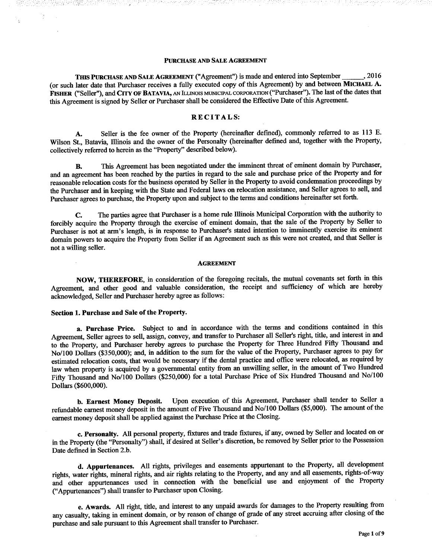### **PURCHASE AND SALE AGREEMENT**

THIS PURCHASE AND SALE AGREEMENT ("Agreement") is made and entered into September . 2016 (or such later date that Purchaser receives a fully executed copy of this Agreement) by and between MICHAEL A. FISHER ("Seller"), and CITY OF BATAVIA, AN ILLINOIS MUNICIPAL CORPORATION ("Purchaser"). The last of the dates that this Agreement is signed by Seller or Purchaser shall be considered the Effective Date of this Agreement.

## **RECITALS:**

Seller is the fee owner of the Property (hereinafter defined), commonly referred to as 113 E. **A.** Wilson St., Batavia, Illinois and the owner of the Personalty (hereinafter defined and, together with the Property, collectively referred to herein as the "Property" described below).

This Agreement has been negotiated under the imminent threat of eminent domain by Purchaser, **B.** and an agreement has been reached by the parties in regard to the sale and purchase price of the Property and for reasonable relocation costs for the business operated by Seller in the Property to avoid condemnation proceedings by the Purchaser and in keeping with the State and Federal laws on relocation assistance, and Seller agrees to sell, and Purchaser agrees to purchase, the Property upon and subject to the terms and conditions hereinafter set forth.

The parties agree that Purchaser is a home rule Illinois Municipal Corporation with the authority to  $\mathbf{C}$ . forcibly acquire the Property through the exercise of eminent domain, that the sale of the Property by Seller to Purchaser is not at arm's length, is in response to Purchaser's stated intention to imminently exercise its eminent domain powers to acquire the Property from Seller if an Agreement such as this were not created, and that Seller is not a willing seller.

#### **AGREEMENT**

NOW, THEREFORE, in consideration of the foregoing recitals, the mutual covenants set forth in this Agreement, and other good and valuable consideration, the receipt and sufficiency of which are hereby acknowledged, Seller and Purchaser hereby agree as follows:

## Section 1. Purchase and Sale of the Property.

a. Purchase Price. Subject to and in accordance with the terms and conditions contained in this Agreement, Seller agrees to sell, assign, convey, and transfer to Purchaser all Seller's right, title, and interest in and to the Property, and Purchaser hereby agrees to purchase the Property for Three Hundred Fifty Thousand and No/100 Dollars (\$350,000); and, in addition to the sum for the value of the Property, Purchaser agrees to pay for estimated relocation costs, that would be necessary if the dental practice and office were relocated, as required by law when property is acquired by a governmental entity from an unwilling seller, in the amount of Two Hundred Fifty Thousand and No/100 Dollars (\$250,000) for a total Purchase Price of Six Hundred Thousand and No/100 Dollars (\$600,000).

Upon execution of this Agreement, Purchaser shall tender to Seller a b. Earnest Money Deposit. refundable earnest money deposit in the amount of Five Thousand and No/100 Dollars (\$5,000). The amount of the earnest money deposit shall be applied against the Purchase Price at the Closing.

c. Personalty. All personal property, fixtures and trade fixtures, if any, owned by Seller and located on or in the Property (the "Personalty") shall, if desired at Seller's discretion, be removed by Seller prior to the Possession Date defined in Section 2.b.

d. Appurtenances. All rights, privileges and easements appurtenant to the Property, all development rights, water rights, mineral rights, and air rights relating to the Property, and any and all easements, rights-of-way and other appurtenances used in connection with the beneficial use and enjoyment of the Property ("Appurtenances") shall transfer to Purchaser upon Closing.

e. Awards. All right, title, and interest to any unpaid awards for damages to the Property resulting from any casualty, taking in eminent domain, or by reason of change of grade of any street accruing after closing of the purchase and sale pursuant to this Agreement shall transfer to Purchaser.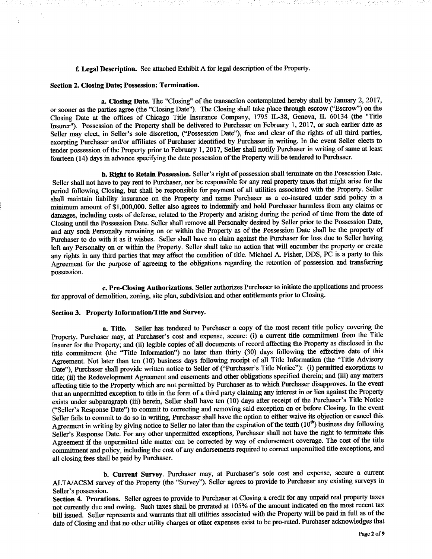## f. Legal Description. See attached Exhibit A for legal description of the Property.

## Section 2. Closing Date; Possession; Termination.

a. Closing Date. The "Closing" of the transaction contemplated hereby shall by January 2, 2017, or sooner as the parties agree (the "Closing Date"). The Closing shall take place through escrow ("Escrow") on the Closing Date at the offices of Chicago Title Insurance Company, 1795 IL-38, Geneva, IL 60134 (the "Title Insurer"). Possession of the Property shall be delivered to Purchaser on February 1, 2017, or such earlier date as Seller may elect, in Seller's sole discretion, ("Possession Date"), free and clear of the rights of all third parties, excepting Purchaser and/or affiliates of Purchaser identified by Purchaser in writing. In the event Seller elects to tender possession of the Property prior to February 1, 2017, Seller shall notify Purchaser in writing of same at least fourteen (14) days in advance specifying the date possession of the Property will be tendered to Purchaser.

b. Right to Retain Possession. Seller's right of possession shall terminate on the Possession Date. Seller shall not have to pay rent to Purchaser, nor be responsible for any real property taxes that might arise for the period following Closing, but shall be responsible for payment of all utilities associated with the Property. Seller shall maintain liability insurance on the Property and name Purchaser as a co-insured under said policy in a minimum amount of \$1,000,000. Seller also agrees to indemnify and hold Purchaser harmless from any claims or damages, including costs of defense, related to the Property and arising during the period of time from the date of Closing until the Possession Date. Seller shall remove all Personalty desired by Seller prior to the Possession Date, and any such Personalty remaining on or within the Property as of the Possession Date shall be the property of Purchaser to do with it as it wishes. Seller shall have no claim against the Purchaser for loss due to Seller having left any Personalty on or within the Property. Seller shall take no action that will encumber the property or create any rights in any third parties that may affect the condition of title. Michael A. Fisher, DDS, PC is a party to this Agreement for the purpose of agreeing to the obligations regarding the retention of possession and transferring possession.

c. Pre-Closing Authorizations. Seller authorizes Purchaser to initiate the applications and process for approval of demolition, zoning, site plan, subdivision and other entitlements prior to Closing.

## Section 3. Property Information/Title and Survey.

a. Title. Seller has tendered to Purchaser a copy of the most recent title policy covering the Property. Purchaser may, at Purchaser's cost and expense, secure: (i) a current title commitment from the Title Insurer for the Property; and (ii) legible copies of all documents of record affecting the Property as disclosed in the title commitment (the "Title Information") no later than thirty (30) days following the effective date of this Agreement. Not later than ten (10) business days following receipt of all Title Information (the "Title Advisory Date"), Purchaser shall provide written notice to Seller of ("Purchaser's Title Notice"): (i) permitted exceptions to title; (ii) the Redevelopment Agreement and easements and other obligations specified therein; and (iii) any matters affecting title to the Property which are not permitted by Purchaser as to which Purchaser disapproves. In the event that an unpermitted exception to title in the form of a third party claiming any interest in or lien against the Property exists under subparagraph (iii) herein, Seller shall have ten (10) days after receipt of the Purchaser's Title Notice ("Seller's Response Date") to commit to correcting and removing said exception on or before Closing. In the event Seller fails to commit to do so in writing, Purchaser shall have the option to either waive its objection or cancel this Agreement in writing by giving notice to Seller no later than the expiration of the tenth  $(10<sup>th</sup>)$  business day following Seller's Response Date. For any other unpermitted exceptions, Purchaser shall not have the right to terminate this Agreement if the unpermitted title matter can be corrected by way of endorsement coverage. The cost of the title commitment and policy, including the cost of any endorsements required to correct unpermitted title exceptions, and all closing fees shall be paid by Purchaser.

b. Current Survey. Purchaser may, at Purchaser's sole cost and expense, secure a current ALTA/ACSM survey of the Property (the "Survey"). Seller agrees to provide to Purchaser any existing surveys in Seller's possession.

Section 4. Prorations. Seller agrees to provide to Purchaser at Closing a credit for any unpaid real property taxes not currently due and owing. Such taxes shall be prorated at 105% of the amount indicated on the most recent tax bill issued. Seller represents and warrants that all utilities associated with the Property will be paid in full as of the date of Closing and that no other utility charges or other expenses exist to be pro-rated. Purchaser acknowledges that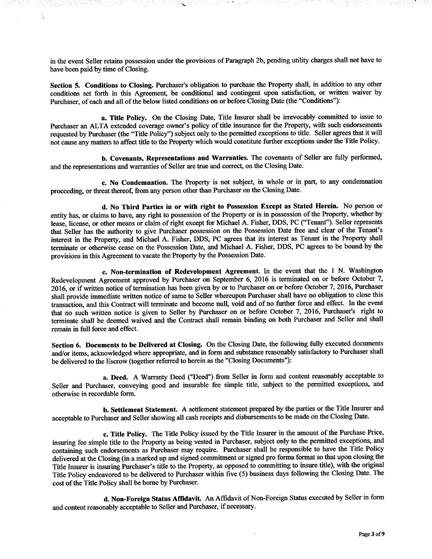in the event Seller retains possession under the provisions of Paragraph 2b, pending utility charges shall not have to have been paid by time of Closing.

Section 5. Conditions to Closing. Purchaser's obligation to purchase the Property shall, in addition to any other conditions set forth in this Agreement, be conditional and contingent upon satisfaction, or written waiver by Purchaser, of each and all of the below listed conditions on or before Closing Date (the "Conditions"):

a. Title Policy. On the Closing Date, Title Insurer shall be irrevocably committed to issue to Purchaser an ALTA extended coverage owner's policy of title insurance for the Property, with such endorsements requested by Purchaser (the "Title Policy") subject only to the permitted exceptions to title. Seller agrees that it will not cause any matters to affect title to the Property which would constitute further exceptions under the Title Policy.

b. Covenants, Representations and Warranties. The covenants of Seller are fully performed, and the representations and warranties of Seller are true and correct, on the Closing Date.

c. No Condemnation. The Property is not subject, in whole or in part, to any condemnation proceeding, or threat thereof, from any person other than Purchaser on the Closing Date.

d. No Third Parties in or with right to Possession Except as Stated Herein. No person or entity has, or claims to have, any right to possession of the Property or is in possession of the Property, whether by lease, license, or other means or claim of right except for Michael A. Fisher, DDS, PC ("Tenant"). Seller represents that Seller has the authority to give Purchaser possession on the Possession Date free and clear of the Tenant's interest in the Property, and Michael A. Fisher, DDS, PC agrees that its interest as Tenant in the Property shall terminate or otherwise cease on the Possession Date, and Michael A. Fisher, DDS, PC agrees to be bound by the provisions in this Agreement to vacate the Property by the Possession Date.

e. Non-termination of Redevelopment Agreement. In the event that the 1 N. Washington Redevelopment Agreement approved by Purchaser on September 6, 2016 is terminated on or before October 7, 2016, or if written notice of termination has been given by or to Purchaser on or before October 7, 2016, Purchaser shall provide immediate written notice of same to Seller whereupon Purchaser shall have no obligation to close this transaction, and this Contract will terminate and become null, void and of no further force and effect. In the event that no such written notice is given to Seller by Purchaser on or before October 7, 2016, Purchaser's right to terminate shall be deemed waived and the Contract shall remain binding on both Purchaser and Seller and shall remain in full force and effect.

Section 6. Documents to be Delivered at Closing. On the Closing Date, the following fully executed documents and/or items, acknowledged where appropriate, and in form and substance reasonably satisfactory to Purchaser shall be delivered to the Escrow (together referred to herein as the "Closing Documents"):

a. Deed. A Warranty Deed ("Deed") from Seller in form and content reasonably acceptable to Seller and Purchaser, conveying good and insurable fee simple title, subject to the permitted exceptions, and otherwise in recordable form.

b. Settlement Statement. A settlement statement prepared by the parties or the Title Insurer and acceptable to Purchaser and Seller showing all cash receipts and disbursements to be made on the Closing Date.

c. Title Policy. The Title Policy issued by the Title Insurer in the amount of the Purchase Price, insuring fee simple title to the Property as being vested in Purchaser, subject only to the permitted exceptions, and containing such endorsements as Purchaser may require. Purchaser shall be responsible to have the Title Policy delivered at the Closing (in a marked up and signed commitment or signed pro forma format so that upon closing the Title Insurer is insuring Purchaser's title to the Property, as opposed to committing to insure title), with the original Title Policy endeavored to be delivered to Purchaser within five (5) business days following the Closing Date. The cost of the Title Policy shall be borne by Purchaser.

d. Non-Foreign Status Affidavit. An Affidavit of Non-Foreign Status executed by Seller in form and content reasonably acceptable to Seller and Purchaser, if necessary.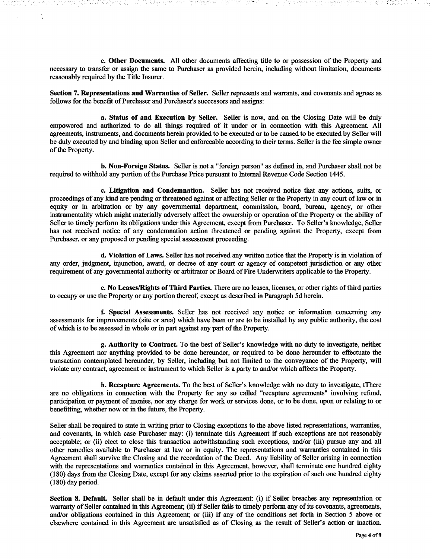e. Other Documents. All other documents affecting title to or possession of the Property and necessary to transfer or assign the same to Purchaser as provided herein, including without limitation, documents reasonably required by the Title Insurer.

Section 7. Representations and Warranties of Seller. Seller represents and warrants, and covenants and agrees as follows for the benefit of Purchaser and Purchaser's successors and assigns:

a. Status of and Execution by Seller. Seller is now, and on the Closing Date will be duly empowered and authorized to do all things required of it under or in connection with this Agreement. All agreements, instruments, and documents herein provided to be executed or to be caused to be executed by Seller will be duly executed by and binding upon Seller and enforceable according to their terms. Seller is the fee simple owner of the Property.

b. Non-Foreign Status. Seller is not a "foreign person" as defined in, and Purchaser shall not be required to withhold any portion of the Purchase Price pursuant to Internal Revenue Code Section 1445.

c. Litigation and Condemnation. Seller has not received notice that any actions, suits, or proceedings of any kind are pending or threatened against or affecting Seller or the Property in any court of law or in equity or in arbitration or by any governmental department, commission, board, bureau, agency, or other instrumentality which might materially adversely affect the ownership or operation of the Property or the ability of Seller to timely perform its obligations under this Agreement, except from Purchaser. To Seller's knowledge, Seller has not received notice of any condemnation action threatened or pending against the Property, except from Purchaser, or any proposed or pending special assessment proceeding.

d. Violation of Laws. Seller has not received any written notice that the Property is in violation of any order, judgment, injunction, award, or decree of any court or agency of competent jurisdiction or any other requirement of any governmental authority or arbitrator or Board of Fire Underwriters applicable to the Property.

e. No Leases/Rights of Third Parties. There are no leases, licenses, or other rights of third parties to occupy or use the Property or any portion thereof, except as described in Paragraph 5d herein.

f. Special Assessments. Seller has not received any notice or information concerning any assessments for improvements (site or area) which have been or are to be installed by any public authority, the cost of which is to be assessed in whole or in part against any part of the Property.

g. Authority to Contract. To the best of Seller's knowledge with no duty to investigate, neither this Agreement nor anything provided to be done hereunder, or required to be done hereunder to effectuate the transaction contemplated hereunder, by Seller, including but not limited to the conveyance of the Property, will violate any contract, agreement or instrument to which Seller is a party to and/or which affects the Property.

h. Recapture Agreements. To the best of Seller's knowledge with no duty to investigate, tThere are no obligations in connection with the Property for any so called "recapture agreements" involving refund, participation or payment of monies, nor any charge for work or services done, or to be done, upon or relating to or benefitting, whether now or in the future, the Property.

Seller shall be required to state in writing prior to Closing exceptions to the above listed representations, warranties, and covenants, in which case Purchaser may: (i) terminate this Agreement if such exceptions are not reasonably acceptable; or (ii) elect to close this transaction notwithstanding such exceptions, and/or (iii) pursue any and all other remedies available to Purchaser at law or in equity. The representations and warranties contained in this Agreement shall survive the Closing and the recordation of the Deed. Any liability of Seller arising in connection with the representations and warranties contained in this Agreement, however, shall terminate one hundred eighty (180) days from the Closing Date, except for any claims asserted prior to the expiration of such one hundred eighty  $(180)$  day period.

Section 8. Default. Seller shall be in default under this Agreement: (i) if Seller breaches any representation or warranty of Seller contained in this Agreement; (ii) if Seller fails to timely perform any of its covenants, agreements, and/or obligations contained in this Agreement; or (iii) if any of the conditions set forth in Section  $\overline{S}$  above or elsewhere contained in this Agreement are unsatisfied as of Closing as the result of Seller's action or inaction.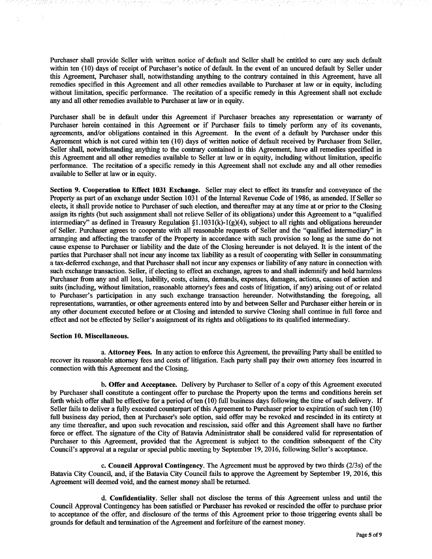Purchaser shall provide Seller with written notice of default and Seller shall be entitled to cure any such default within ten (10) days of receipt of Purchaser's notice of default. In the event of an uncured default by Seller under this Agreement, Purchaser shall, notwithstanding anything to the contrary contained in this Agreement, have all remedies specified in this Agreement and all other remedies available to Purchaser at law or in equity, including without limitation, specific performance. The recitation of a specific remedy in this Agreement shall not exclude any and all other remedies available to Purchaser at law or in equity.

Purchaser shall be in default under this Agreement if Purchaser breaches any representation or warranty of Purchaser herein contained in this Agreement or if Purchaser fails to timely perform any of its covenants, agreements, and/or obligations contained in this Agreement. In the event of a default by Purchaser under this Agreement which is not cured within ten (10) days of written notice of default received by Purchaser from Seller, Seller shall, notwithstanding anything to the contrary contained in this Agreement, have all remedies specified in this Agreement and all other remedies available to Seller at law or in equity, including without limitation, specific performance. The recitation of a specific remedy in this Agreement shall not exclude any and all other remedies available to Seller at law or in equity.

Section 9. Cooperation to Effect 1031 Exchange. Seller may elect to effect its transfer and conveyance of the Property as part of an exchange under Section 1031 of the Internal Revenue Code of 1986, as amended. If Seller so elects, it shall provide notice to Purchaser of such election, and thereafter may at any time at or prior to the Closing assign its rights (but such assignment shall not relieve Seller of its obligations) under this Agreement to a "qualified intermediary" as defined in Treasury Regulation  $\S1.1031(k)$ - $I(g)(4)$ , subject to all rights and obligations hereunder of Seller. Purchaser agrees to cooperate with all reasonable requests of Seller and the "qualified intermediary" in arranging and affecting the transfer of the Property in accordance with such provision so long as the same do not cause expense to Purchaser or liability and the date of the Closing hereunder is not delayed. It is the intent of the parties that Purchaser shall not incur any income tax liability as a result of cooperating with Seller in consummating a tax-deferred exchange, and that Purchaser shall not incur any expenses or liability of any nature in connection with such exchange transaction. Seller, if electing to effect an exchange, agrees to and shall indemnify and hold harmless Purchaser from any and all loss, liability, costs, claims, demands, expenses, damages, actions, causes of action and suits (including, without limitation, reasonable attorney's fees and costs of litigation, if any) arising out of or related to Purchaser's participation in any such exchange transaction hereunder. Notwithstanding the foregoing, all representations, warranties, or other agreements entered into by and between Seller and Purchaser either herein or in any other document executed before or at Closing and intended to survive Closing shall continue in full force and effect and not be effected by Seller's assignment of its rights and obligations to its qualified intermediary.

### Section 10. Miscellaneous.

a. Attorney Fees. In any action to enforce this Agreement, the prevailing Party shall be entitled to recover its reasonable attorney fees and costs of litigation. Each party shall pay their own attorney fees incurred in connection with this Agreement and the Closing.

b. Offer and Acceptance. Delivery by Purchaser to Seller of a copy of this Agreement executed by Purchaser shall constitute a contingent offer to purchase the Property upon the terms and conditions herein set forth which offer shall be effective for a period of ten (10) full business days following the time of such delivery. If Seller fails to deliver a fully executed counterpart of this Agreement to Purchaser prior to expiration of such ten (10) full business day period, then at Purchaser's sole option, said offer may be revoked and rescinded in its entirety at any time thereafter, and upon such revocation and rescission, said offer and this Agreement shall have no further force or effect. The signature of the City of Batavia Administrator shall be considered valid for representation of Purchaser to this Agreement, provided that the Agreement is subject to the condition subsequent of the City Council's approval at a regular or special public meeting by September 19, 2016, following Seller's acceptance.

c. Council Approval Contingency. The Agreement must be approved by two thirds (2/3s) of the Batavia City Council, and, if the Batavia City Council fails to approve the Agreement by September 19, 2016, this Agreement will deemed void, and the earnest money shall be returned.

d. Confidentiality. Seller shall not disclose the terms of this Agreement unless and until the Council Approval Contingency has been satisfied or Purchaser has revoked or rescinded the offer to purchase prior to acceptance of the offer, and disclosure of the terms of this Agreement prior to those triggering events shall be grounds for default and termination of the Agreement and forfeiture of the earnest money.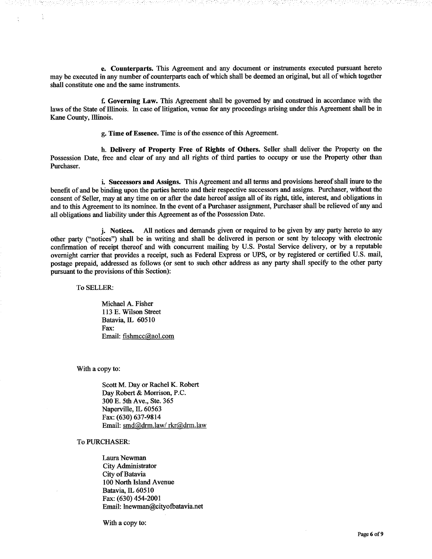e. Counterparts. This Agreement and any document or instruments executed pursuant hereto may be executed in any number of counterparts each of which shall be deemed an original, but all of which together shall constitute one and the same instruments.

f. Governing Law. This Agreement shall be governed by and construed in accordance with the laws of the State of Illinois. In case of litigation, venue for any proceedings arising under this Agreement shall be in Kane County, Illinois.

g. Time of Essence. Time is of the essence of this Agreement.

h. Delivery of Property Free of Rights of Others. Seller shall deliver the Property on the Possession Date, free and clear of any and all rights of third parties to occupy or use the Property other than Purchaser.

i. Successors and Assigns. This Agreement and all terms and provisions hereof shall inure to the benefit of and be binding upon the parties hereto and their respective successors and assigns. Purchaser, without the consent of Seller, may at any time on or after the date hereof assign all of its right, title, interest, and obligations in and to this Agreement to its nominee. In the event of a Purchaser assignment, Purchaser shall be relieved of any and all obligations and liability under this Agreement as of the Possession Date.

All notices and demands given or required to be given by any party hereto to any i. Notices. other party ("notices") shall be in writing and shall be delivered in person or sent by telecopy with electronic confirmation of receipt thereof and with concurrent mailing by U.S. Postal Service delivery, or by a reputable overnight carrier that provides a receipt, such as Federal Express or UPS, or by registered or certified U.S. mail, postage prepaid, addressed as follows (or sent to such other address as any party shall specify to the other party pursuant to the provisions of this Section):

To SELLER:

Michael A. Fisher 113 E. Wilson Street Batavia, IL 60510 Fax: Email: fishmcc@aol.com

With a copy to:

Scott M. Day or Rachel K. Robert Day Robert & Morrison, P.C. 300 E. 5th Ave., Ste. 365 Naperville, IL 60563 Fax: (630) 637-9814 Email: smd@drm.law/rkr@drm.law

## To PURCHASER:

Laura Newman City Administrator City of Batavia 100 North Island Avenue Batavia, IL 60510 Fax: (630) 454-2001 Email: lnewman@cityofbatavia.net

With a copy to: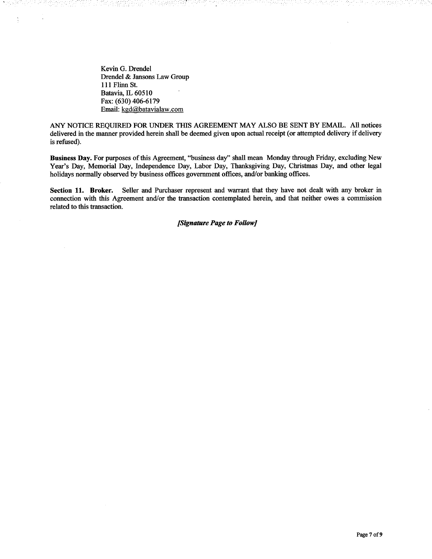Kevin G. Drendel Drendel & Jansons Law Group 111 Flinn St. Batavia, IL 60510 Fax: (630) 406-6179 Email: kgd@batavialaw.com

- 1999년

ANY NOTICE REQUIRED FOR UNDER THIS AGREEMENT MAY ALSO BE SENT BY EMAIL. All notices delivered in the manner provided herein shall be deemed given upon actual receipt (or attempted delivery if delivery is refused).

Business Day. For purposes of this Agreement, "business day" shall mean Monday through Friday, excluding New Year's Day, Memorial Day, Independence Day, Labor Day, Thanksgiving Day, Christmas Day, and other legal holidays normally observed by business offices government offices, and/or banking offices.

Section 11. Broker. Seller and Purchaser represent and warrant that they have not dealt with any broker in connection with this Agreement and/or the transaction contemplated herein, and that neither owes a commission related to this transaction.

[Signature Page to Follow]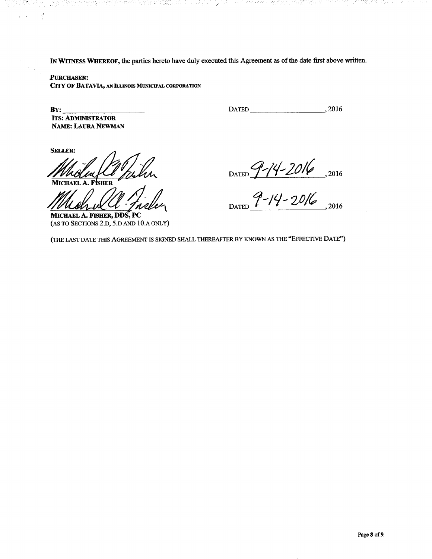IN WITNESS WHEREOF, the parties hereto have duly executed this Agreement as of the date first above written.

## **PURCHASER:**

CITY OF BATAVIA, AN ILLINOIS MUNICIPAL CORPORATION

100일 중세상 경영 전 정치 시간 2003년 중요 10<mark>월</mark> 2003 M 8주 2003

 $\mathbf{B} \mathbf{Y}$ : **ITS: ADMINISTRATOR NAME: LAURA NEWMAN**  DATED 2016

"2007년 2012년 2012년 전부가 이 아니까 있어요" 전 100 000

utatanya Buli lilika, manahisi

**SELLER:** 

 $\frac{1}{2}$ 

 $\bar{r}$ 

**MICHAEL A. FISHER** 

MICHAEL A. FISHER, DDS, PC (AS TO SECTIONS 2.D, 5.D AND 10.A ONLY)

DATED  $9-14-2016$ , 2016

(THE LAST DATE THIS AGREEMENT IS SIGNED SHALL THEREAFTER BY KNOWN AS THE "EFFECTIVE DATE")